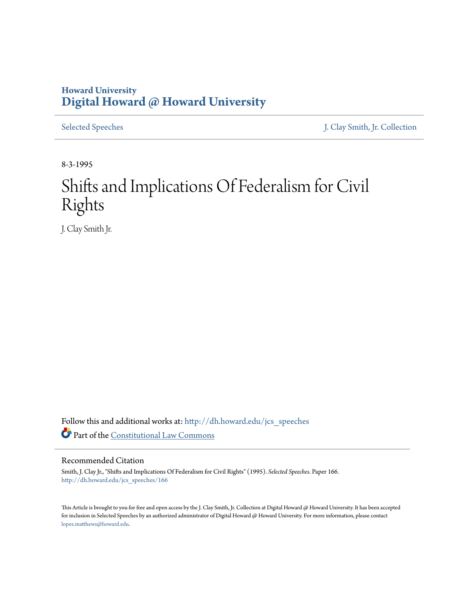## **Howard University [Digital Howard @ Howard University](http://dh.howard.edu?utm_source=dh.howard.edu%2Fjcs_speeches%2F166&utm_medium=PDF&utm_campaign=PDFCoverPages)**

[Selected Speeches](http://dh.howard.edu/jcs_speeches?utm_source=dh.howard.edu%2Fjcs_speeches%2F166&utm_medium=PDF&utm_campaign=PDFCoverPages) [J. Clay Smith, Jr. Collection](http://dh.howard.edu/jcsmith?utm_source=dh.howard.edu%2Fjcs_speeches%2F166&utm_medium=PDF&utm_campaign=PDFCoverPages)

8-3-1995

## Shifts and Implications Of Federalism for Civil Rights

J. Clay Smith Jr.

Follow this and additional works at: [http://dh.howard.edu/jcs\\_speeches](http://dh.howard.edu/jcs_speeches?utm_source=dh.howard.edu%2Fjcs_speeches%2F166&utm_medium=PDF&utm_campaign=PDFCoverPages) Part of the [Constitutional Law Commons](http://network.bepress.com/hgg/discipline/589?utm_source=dh.howard.edu%2Fjcs_speeches%2F166&utm_medium=PDF&utm_campaign=PDFCoverPages)

## Recommended Citation

Smith, J. Clay Jr., "Shifts and Implications Of Federalism for Civil Rights" (1995). *Selected Speeches.* Paper 166. [http://dh.howard.edu/jcs\\_speeches/166](http://dh.howard.edu/jcs_speeches/166?utm_source=dh.howard.edu%2Fjcs_speeches%2F166&utm_medium=PDF&utm_campaign=PDFCoverPages)

This Article is brought to you for free and open access by the J. Clay Smith, Jr. Collection at Digital Howard @ Howard University. It has been accepted for inclusion in Selected Speeches by an authorized administrator of Digital Howard @ Howard University. For more information, please contact [lopez.matthews@howard.edu.](mailto:lopez.matthews@howard.edu)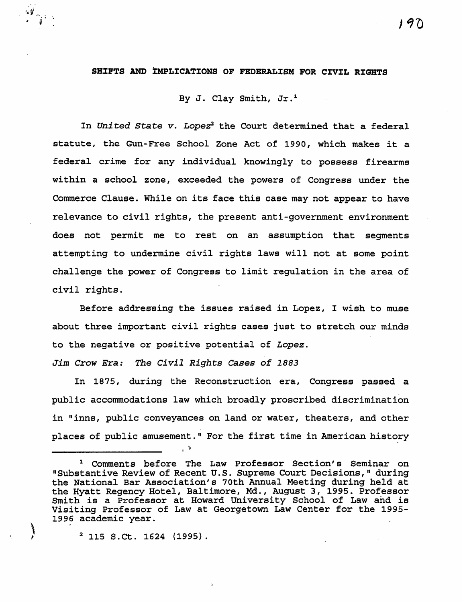## **SHIFTS AND ZMPLICATIONS OF FEDERALISM POR CIVIL RIGHTS**

By J. Clay Smith, Jr.<sup>1</sup>

In *United State v. Lopez*<sup>2</sup> the Court determined that a federal statute, the Gun-Free School Zone Act of 1990, which makes it a federal crime for any individual knowingly to possess firearms within a school zone, exceeded the powers of Congress under the Commerce Clause. While on its face this case may not appear to have relevance to civil rights, the present anti-government environment does not permit me to rest on an assumption that segments attempting to undermine civil rights laws will not at some point challenge the power of Congress to limit regulation in the area of civil rights.

Before addressing the issues raised in Lopez, I wish to muse about three important civil rights cases just to stretch our minds to the negative or positive potential of *Lopez.* 

Jim Crow Era: The Civil Rights Cases of 1883

. v !

In 1875, during the Reconstruction era, Congress passed a public accommodations law which broadly proscribed discrimination in "inns, public conveyances on land or water, theaters, and other places of public amusement." For the first time in American history

 $\sum_{i=1}^{n}$ 

 $\frac{1}{\sqrt{1}}$ 

 $\begin{bmatrix} \cdot & \cdot & \cdot \\ \cdot & \cdot & \cdot \\ \cdot & \cdot & \cdot \end{bmatrix}$ <sup>1</sup> Comments before The Law Professor Section's Seminar on "Substantive Review of Recent U.S. Supreme Court Decisions," during the National Bar Association's 70th Annual Meeting during held at the Hyatt Regency Hotel, Baltimore, Md., August 3, 1995. Professor Smith is a Professor at Howard University School of Law and is Visiting Professor of Law at Georgetown Law Center for the 1995- 1996 academic year.

 $2$  115 S.Ct. 1624 (1995).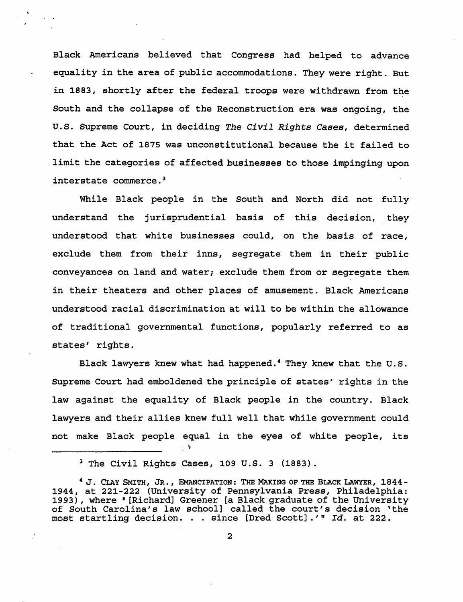Black Americans believed that Congress had helped to advance equality in the area of public accommodations. They were right. But in 1883, shortly after the federal troops were withdrawn from the South and the collapse of the Reconstruction era was ongoing, the u.S. Supreme Court, in deciding *The Civil Rights Cases,* determined that the Act of 1875 was unconstitutional because the it failed to limit the categories of affected businesses to those impinging upon interstate commerce. <sup>3</sup>

 $\ddot{\phantom{0}}$ 

While Black people in the South and North did not fully understand the jurisprudential basis of this decision, they understood that white businesses could, on the basis of race, exclude them from their inns, segregate them in their public conveyances on land and water; exclude them from or segregate them in their theaters and other places of amusement. Black Americans understood racial discrimination at will to be within the allowance of traditional governmental functions, popularly referred to as states' rights.

Black lawyers knew what had happened. 4 They knew that the U. S. Supreme Court had emboldened the principle of states' rights in the law against the equality of Black people in the country. Black lawyers and their allies knew full well that while government could not make Black people equal in the eyes of white people, its

:  $\ddot{\triangledown}$ 

<sup>&</sup>lt;sup>3</sup> The Civil Rights Cases, 109 U.S. 3 (1883).

<sup>&</sup>lt;sup>4</sup> J. CLAY SMITH, JR., EMANCIPATION: THE MAKING OF THE BLACK LAWYER, 1844-1944, at 221-222 (University of Pennsylvania Press, Philadelphia: 1993), where "[Richard] Greener [a Black graduate of the University of South Carolina's law school] called the court's decision 'the most startling decision. . . since [Dred Scott] .'" *Id.* at 222.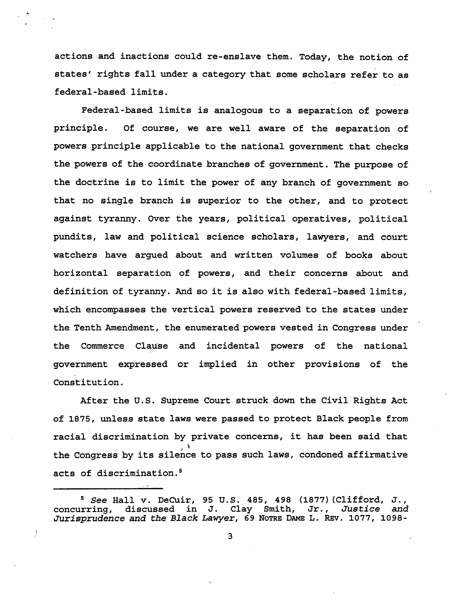actions and inactions could re-enslave them. Today, the notion of states' rights fall under a category that some scholars refer to as federal-based limits.

Federal-based limits is analogous to a separation of powers principle. Of course, we are well aware of the separation of powers principle applicable to the national government that checks the powers of the coordinate branches of government. The purpose of the doctrine *is* to limit the power of any branch of government so that no single branch is superior to the other, and to protect against tyranny. Over the years, political operatives, political pundits, law and political science scholars, lawyers, and court watchers have argued about and written volumes of books about horizontal separation of powers, and their concerns about and definition of tyranny. And so it is also with federal-based limits, which encompasses the vertical powers reserved to the states under the Tenth Amendment, the enumerated powers vested in Congress under the Commerce Clause and incidental powers of the national government expressed or implied in other provisions of the Constitution.

After the u.s. Supreme Court struck down the Civil Rights Act of 1875, unless state laws were passed to protect Black people from racial discrimination by private concerns, it has been said that  $\cdot$   $\cdot$ the Congress by its silence to pass such laws, condoned affirmative acts of discrimination.<sup>5</sup>

<sup>&</sup>lt;sup>5</sup> See Hall v. DeCuir, 95 U.S. 485, 498 (1877) (Clifford, J., concurring, discussed in J. Clay Smith, Jr., Justice and discussed in J. Clay Smith, *Jurisprudence* and *the Black Lawyer,* 69 NOTRE DAME L. REv. 1077, 1098-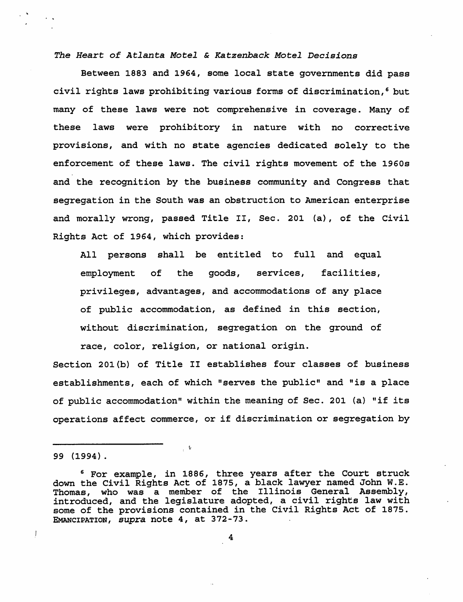*The Heart of Atlanta Motel* & *Katzenback Motel Decisions* 

Between 1883 and 1964, some local state governments did pass civil rights laws prohibiting various forms of discrimination, 6 but many of these laws were not comprehensive in coverage. Many of these laws were prohibitory *in* nature with no corrective provisions, and with no state agencies dedicated solely to the enforcement of these laws. The civil rights movement of the 1960s and the recognition by the business community and Congress that segregation in the South was an obstruction to American enterprise and morally wrong, passed Title II, Sec. 201 (a), of the civil Rights Act of 1964, which provides:

All persons shall be entitled to full and equal employment of the goods, services, facilities, privileges, advantages, and accommodations of any place of public accommodation, as defined in this section, without discrimination, segregation on the ground of race, color, religion, or national origin.

Section 201(b) of Title II establishes four classes of business establishments, each of which "serves the public" and "is a place of public accommodation" within the meaning of Sec. 201 (a) "if its operations affect commerce, or if discrimination or segregation by

 $\mathbf{I}$ 

<sup>99 (1994).</sup> 

<sup>6</sup> For example, in 1886, three years after the Court struck down the Civil Rights Act of 1875, a black lawyer named John W.E. Thomas, who was a member of the Illinois General Assembly, introduced, and the legislature adopted, a civil rights law with some of the provisions contained in the civil Rights Act of 1875. EMANCIPATION, supra note 4, at 372-73.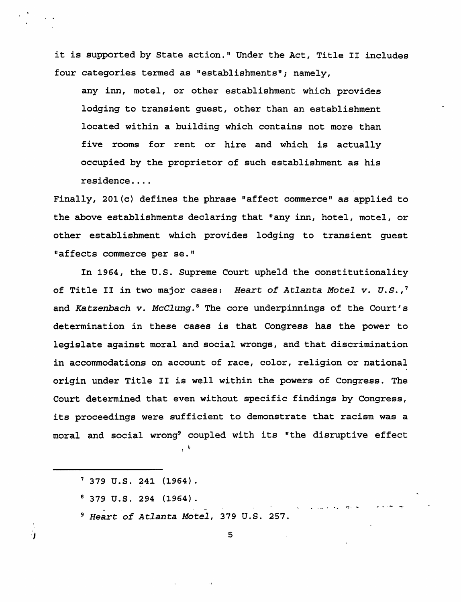it is supported by State action." Under the Act, Title II includes four categories termed as "establishments"; namely,

any inn, motel, or other establishment which provides lodging to transient guest, other than an establishment located within a building which contains not more than five rooms for rent or hire and which is actually occupied by the proprietor of such establishment as his residence ....

Finally, 201{c) defines the phrase "affect commerce" as applied to the above establishments declaring that "any inn, hotel, motel, or other establishment which provides lodging to transient guest "affects commerce per se."

In 1964, the U.S. Supreme Court upheld the constitutionality of Title II in two major cases: *Heart of Atlanta Motel v. U.S.,'*  and *Ka tzenbach v. McClung.* 8 The core underpinnings of the Court' s determination in these cases is that Congress has the power to legislate against moral and social wrongs, and that discrimination in accommodations on account of race, color, religion or national origin under Title II is well within the powers of Congress. The Court determined that even without specific findings by Congress, its proceedings were sufficient to demonstrate that racism was a moral and social wrong<sup>9</sup> coupled with its "the disruptive effect

- $\ddot{i}$
- , 379 U.S. 241 (1964).
- 8 379 U.S. 294 (1964).

'I

- *9 Heart of Atlanta Motel,* 379 U.S. 257.

5

. ..... .. . .,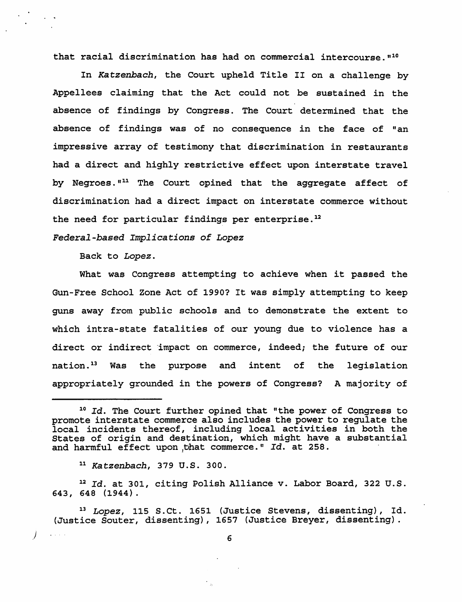that racial discrimination has had on commercial intercourse.<sup>"10</sup>

In *Katzenbach,* the Court upheld Title II on a challenge by Appellees claiming that the Act could not be sustained in the absence of findings by Congress. The Court determined that the absence of findings was of no consequence in the face of "an impressive array of testimony that discrimination in restaurants had a direct and highly restrictive effect upon interstate travel by Negroes."<sup>11</sup> The Court opined that the aggregate affect of discrimination had a direct impact on interstate commerce without the need for particular findings per enterprise.<sup>12</sup>

*Federal-based Implications oE Lopez* 

Back to *Lopez.* 

What was Congress attempting to achieve when it passed the Gun-Free School Zone Act of 1990? It was simply attempting to keep guns away from public schools and to demonstrate the extent to which intra-state fatalities of our young due to violence has a direct or indirect impact on commerce, indeed; the future of our nation.13 Was the purpose and intent of the legislation appropriately grounded in the powers of Congress? A majority of

.J

 $\mathcal{L}^{\mathcal{A}}$  ,  $\mathcal{L}^{\mathcal{A}}$  ,  $\mathcal{L}^{\mathcal{A}}$ 

 $10$  Id. The Court further opined that "the power of Congress to promote interstate commerce also includes the power to regulate the local incidents thereof, including local activities in both the States of origin and destination, which might have a substantial and harmful effect upon that commerce." Id. at 258.

<sup>11</sup>*Katzenbach,* 379 U. S. 300.

<sup>12</sup>*Id.* at 301, citing Polish Alliance v. Labor Board, 322 U.S. 643, 648 (1944).

*<sup>13</sup> Lopez,* 115 S.Ct. 1651 (Justice Stevens, dissenting), Id. (Justice Souter, dissenting), 1657 (Justice Breyer, dissenting) .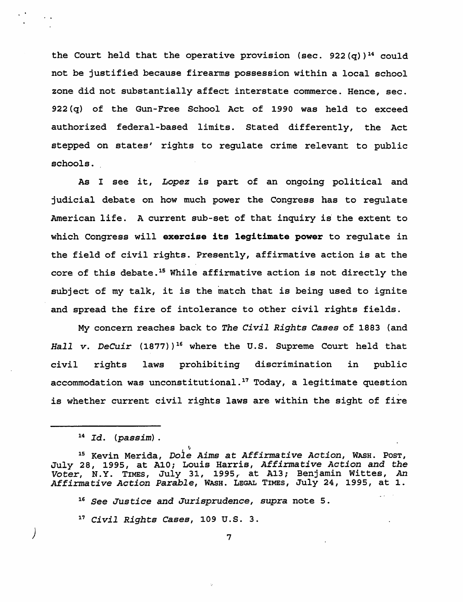the Court held that the operative provision (sec. 922(q))<sup>14</sup> could not be justified because firearms possession within a local school zone did not substantially affect interstate commerce. Hence, sec. 922 (q) of the Gun-Free School Act of 1990 was held to exceed authorized federal-based limits. Stated differently, the Act stepped on states' rights to regulate crime relevant to public schools.

As I see *it, Lopez is* part of an *ongoing* political and judicial debate on how much power the Congress has to regulate American life. A current sub-set of that *inquiry* is' the extent to which Congress will **exercise its legitimate power** to regulate *in*  the field of civil rights. Presently, affirmative action is at the core of this debate. 1s While affirmative action *is* not directly the subject of my talk, *it* is the match that is being used to ignite and spread the fire of intolerance to other civil rights fields.

My concern reaches back to *The Civil Rights Cases* of 1883 (and *Hall v. DeCuir* (1877») 16 where the U. S. Supreme Court held that civil rights laws prohibiting *discrimination* in public accommodation was unconstitutional.<sup>17</sup> Today, a legitimate question is whether current civil rights laws are within the sight of fire

)

15 Kevin Merida, *Doie Aims at Affirmative Action,* WASH. POST, July 28, 1995, at A10; Louis Harris, *Affirmative Action and the Voter,* N.Y. TIMES, July 31, 1995,. at A13; Benjamin Wittes, An Affirmative Action Parable, WASH. LEGAL TIMES, July 24, 1995, at 1.

<sup>16</sup>*See Justice and Jurisprudence, supra* note 5.

 $~v$ 

<sup>17</sup>*Civil Rights Cases,* 109 U.S. 3.

<sup>14</sup> *Id. (passim).*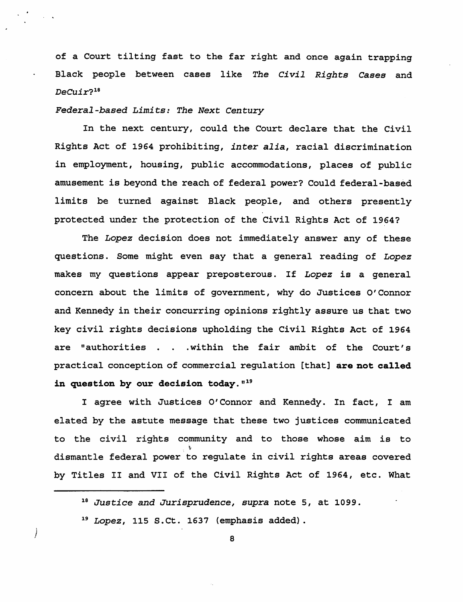of a Court tilting fast to the far right and once again trapping Black people between cases like *The Civil Rights Cases* and *DeCuir?18* 

*Federal-based Limits: The Next Century* 

In the next century, could the Court declare that the Civil Rights Act of 1964 prohibiting, *inter alia,* racial discrimination in employment, housing, public accommodations, places of public amusement is beyond the reach of federal power? Could federal-based limits be turned against Black people, and others presently protected under the protection of the Civil Rights Act of 1964?

The *Lopez* decision does not immediately answer any of these questions. Some might even say that a general reading of *Lopez*  makes my questions appear preposterous. If *Lopez* is a general concern about the limits of government, why do Justices O'Connor and Kennedy in their concurring opinions rightly assure us that two key civil rights decisions upholding the Civil Rights Act of 1964 are "authorities . . . within the fair ambit of the Court's practical conception of commercial regulation [that] are not called in question by our decision today.  $119$ 

I agree with Justices O'Connor and Kennedy. In fact, I am elated by the astute message that these two justices communicated to the civil rights community and to those whose aim is to , t dismantle federal power to regulate in civil rights areas covered by Titles II and VII of the Civil Rights Act of 1964, etc. What

)

<sup>18</sup>*Justice* and *Jurisprudence, supra* note 5, at 1099.

*<sup>19</sup> Lopez,* 115 S.Ct. 1637 (emphasis added) .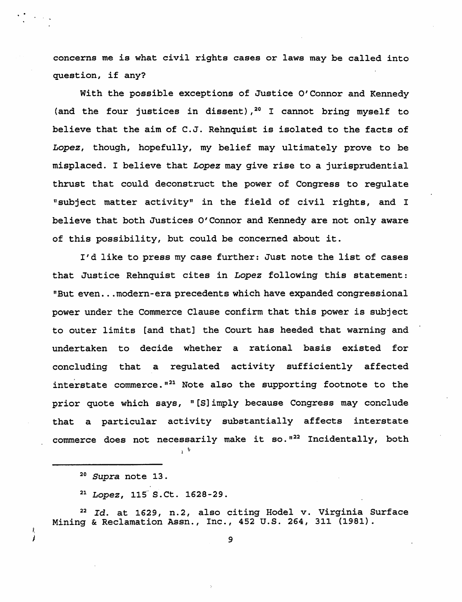concerns me is what civil rights cases or laws may be called into question, if any?

With the possible exceptions of Justice O'Connor and Kennedy (and the four justices in dissent),  $20$  I cannot bring myself to believe that the aim of C.J. Rehnquist is isolated to the facts of *Lopez,* though, hopefully, my belief may ultimately prove to be misplaced. I believe that *Lopez* may give rise to a jurisprudential thrust that could deconstruct the power of Congress to regulate "subject matter activity" in the field of civil rights, and I believe that both Justices O'Connor and Kennedy are not only aware of this possibility, but could be concerned about it.

I'd like to press my case further: Just note the list of cases that Justice Rehnquist cites in *Lopez* following this statement: "But even... modern-era precedents which have expanded congressional power under the Commerce Clause confirm that this power is subject to outer limits [and that] the Court has heeded that warning and undertaken to decide whether a rational basis existed for concluding that a regulated activity sufficiently affected interstate commerce.  $121$  Note also the supporting footnote to the prior quote which says, "[S] imply because Congress may conclude that a particular activity substantially affects interstate commerce does not necessarily make it so.<sup>122</sup> Incidentally, both

1:. J

<sup>22</sup>*Id.* at 1629, n.2, also citing Hodel v. Virginia Surface Mining & Reclamation Assn., Inc., 452 U.S. 264,311 (1981).

<sup>20</sup>*Supra* note 13.

<sup>&</sup>lt;sup>21</sup> Lopez, 115<sup>°</sup>S. Ct. 1628-29.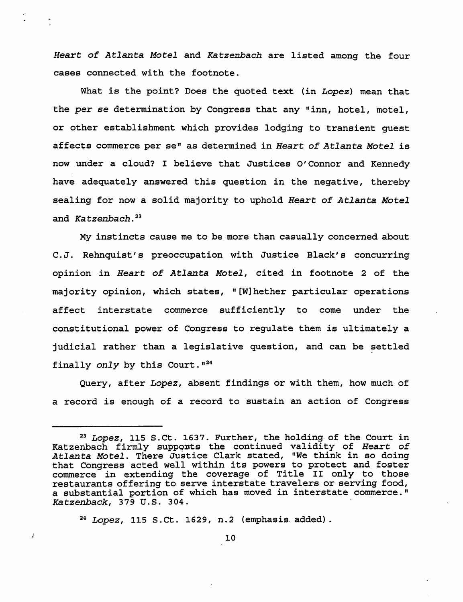*Heart of Atlanta Motel* and *Katzenbach* are listed among the four cases connected with the footnote.

What is the point? Does the quoted text (in *Lopez)* mean that the *per* se determination by Congress that any "inn, hotel, motel, or other establishment which provides lodging to transient guest affects commerce per se" as determined in *Heart of Atlanta Motel* is now under a cloud? I believe that Justices O'Connor and Kennedy have adequately answered this question in the negative, thereby sealing for now a solid majority to uphold *Heart* of *Atlanta Motel*  and *Katzenbach. <sup>23</sup>*

My instincts cause me to be more than casually concerned about C. J. Rehnquist' s preoccupation with Justice Black's concurring opinion in *Heart of Atlanta Motel,* cited in footnote 2 of the majority opinion, which states, "[W]hether particular operations affect interstate commerce sufficiently to come under the constitutional power of Congress to regulate them is ultimately a judicial rather than a legislative question, and can be settled finally *only* by this Court.<sup>"24</sup>

Query, after *Lopez,* absent findings or with them, how much of a record is enough of a record to sustain an action of Congress

*24 Lopez,* 115 S.Ct. 1629, n.2 (emphasis. added) .

*<sup>23</sup> Lopez,* 115 S.Ct. 1637. Further, the holding- of the Court in Katzenbach firmly suppqnts the continued validity of *Heart of Atlanta Motel.* There Justice Clark stated, "We think in so doing that Congress acted well within its powers to protect and foster commerce *in* extending the coverage of Title II only to those restaurants offering to serve interstate travelers or serving food, a substantial portion of which has moved in interstate commerce." *Katzenback,* 379 U.S. 304. .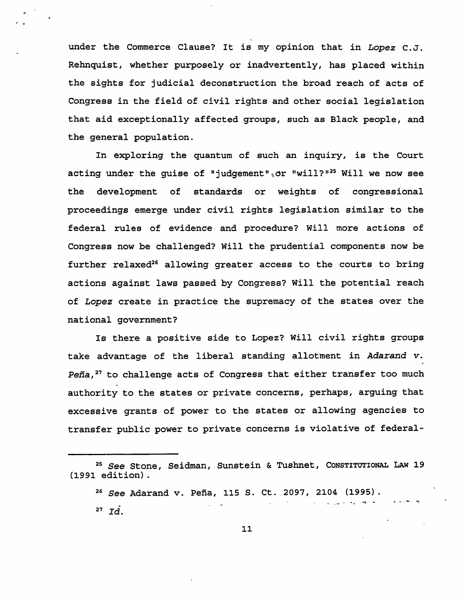under the Commerce Clause? It is my opinion that in *Lopez* C.J. Rehnquist, whether purposely or inadvertently, has placed within the sights for judicial deconstruction the broad reach of acts of Congress in the field of civil rights and other social legislation that aid exceptionally affected groups, such as Black people, and the general population.

In exploring the quantum of such an inquiry, is the Court acting under the guise of "judgement", or "will?"<sup>25</sup> Will we now see the development of standards or weights of congressional proceedings emerge under civil rights legislation similar to the federal rules of evidence and procedure? Will more actions of Congress now be challenged? Will the prudential components now be further relaxed<sup>26</sup> allowing greater access to the courts to bring actions against laws passed by Congress? Will the potential reach of *Lopez* create in practice the supremacy of the states over the national government?

Is there a positive side to Lopez? Will civil rights groups take advantage of the liberal standing allotment in Adarand v. Peña, $^{27}$  to challenge acts of Congress that either transfer too much authority to the states or private concerns, perhaps, arguing that excessive grants of power to the states or allowing agencies to transfer public power to private concerns is violative of federal-

<sup>&</sup>lt;sup>25</sup> See Stone, Seidman, Sunstein & Tushnet, Constitutional Law 19 (1991 edition).

*<sup>26</sup> See* Adarand v. Pena, 115 S. Ct. 2097, 2104 (1995). . **. --:,-**

 $27$   $Id.$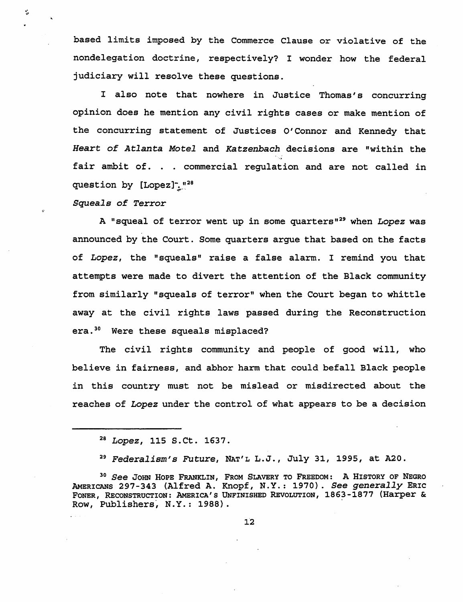based limits imposed by the Commerce Clause or violative of the nondelegation doctrine, respectively? I wonder how the federal judiciary will resolve these questions.

<sup>I</sup>also note that nowhere in Justice Thomas's concurring opinion does he mention any civil rights cases or make mention of the concurring statement of Justices 0' Connor and Kennedy that *Heart of Atlanta Motel* and *Katzenbach* decisions are "within the fair ambit of. . commercial regulation and are not called in question by  $[Lopez]$ <sup>-.</sup>...<sup>28</sup>

*Squeals* of *Terror* 

÷

A "squeal of terror went up in some quarters"<sup>29</sup> when Lopez was announced by the Court. Some quarters argue that based on the facts of Lopez, the "squeals" raise a false alarm. I remind you that attempts were made to divert the attention of the Black community from similarly "squeals of terror" when the Court began to whittle away at the civil rights laws passed during the Reconstruction era.<sup>30</sup> Were these squeals misplaced?

The civil rights community and people of good will, who believe in fairness, and abhor harm that could befall Black people *in* this country must not be mislead or misdirected about the reaches of Lopez under the control of what appears to be a decision

*<sup>28</sup> Lopez,* 115 S.Ct. 1637.

*<sup>29</sup> Federalism'S Future,* NAT'L L.J., July 31, 1995, at A20.

<sup>&</sup>lt;sup>30</sup> See JOHN HOPE FRANKLIN, FROM SLAVERY TO FREEDOM: A HISTORY OF NEGRO AMERIONS 297-343 (Alfred A. Knopf, N.Y.: 1970). *See generally* ERIC FONER, RECONSTRUCTION: AMERICA'S UNFINISHED REvOLUTION, 1863-1877 (Harper & Row, Publishers, N.Y.: 1988).